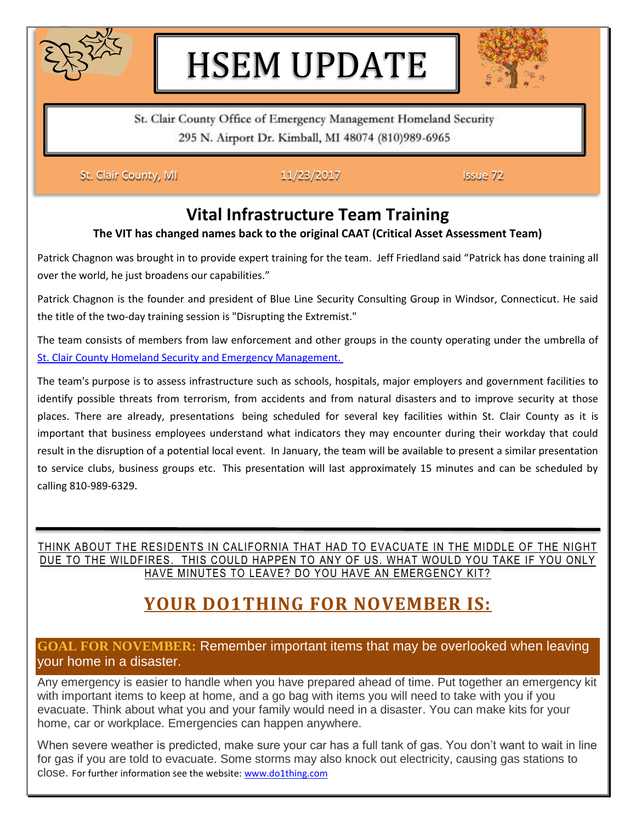

# HSEM UPDATE



St. Clair County Office of Emergency Management Homeland Security 295 N. Airport Dr. Kimball, MI 48074 (810)989-6965

St. Clair County, MI **11/23/2017 ISSUE 72** 

### **Vital Infrastructure Team Training**

#### **The VIT has changed names back to the original CAAT (Critical Asset Assessment Team)**

Patrick Chagnon was brought in to provide expert training for the team. Jeff Friedland said "Patrick has done training all over the world, he just broadens our capabilities."

Patrick Chagnon is the founder and president of Blue Line Security Consulting Group in Windsor, Connecticut. He said the title of the two-day training session is "Disrupting the Extremist."

The team consists of members from law enforcement and other groups in the county operating under the umbrella of [St. Clair County Homeland Security and Emergency Management.](http://www.stclaircounty.org/Offices/emerg_mngmt/em.aspx?meid=95)

The team's purpose is to assess infrastructure such as schools, hospitals, major employers and government facilities to identify possible threats from terrorism, from accidents and from natural disasters and to improve security at those places. There are already, presentations being scheduled for several key facilities within St. Clair County as it is important that business employees understand what indicators they may encounter during their workday that could result in the disruption of a potential local event. In January, the team will be available to present a similar presentation to service clubs, business groups etc. This presentation will last approximately 15 minutes and can be scheduled by calling 810-989-6329.

THINK ABOUT THE RESIDENTS IN CALIFORNIA THAT HAD TO EVACUATE IN THE MIDDLE OF THE NIGHT DUE TO THE WILDFIRES. THIS COULD HAPPEN TO ANY OF US. WHAT WOULD YOU TAKE IF YOU ONLY HAVE MINUTES TO LEAVE? DO YOU HAVE AN EMERGENCY KIT?

### **YOUR DO1THING FOR NOVEMBER IS:**

#### **GOAL FOR NOVEMBER:** Remember important items that may be overlooked when leaving your home in a disaster.

Any emergency is easier to handle when you have prepared ahead of time. Put together an emergency kit with important items to keep at home, and a go bag with items you will need to take with you if you evacuate. Think about what you and your family would need in a disaster. You can make kits for your home, car or workplace. Emergencies can happen anywhere.

When severe weather is predicted, make sure your car has a full tank of gas. You don't want to wait in line for gas if you are told to evacuate. Some storms may also knock out electricity, causing gas stations to close. For further information see the website: [www.do1thing.com](http://www.do1thing.com/)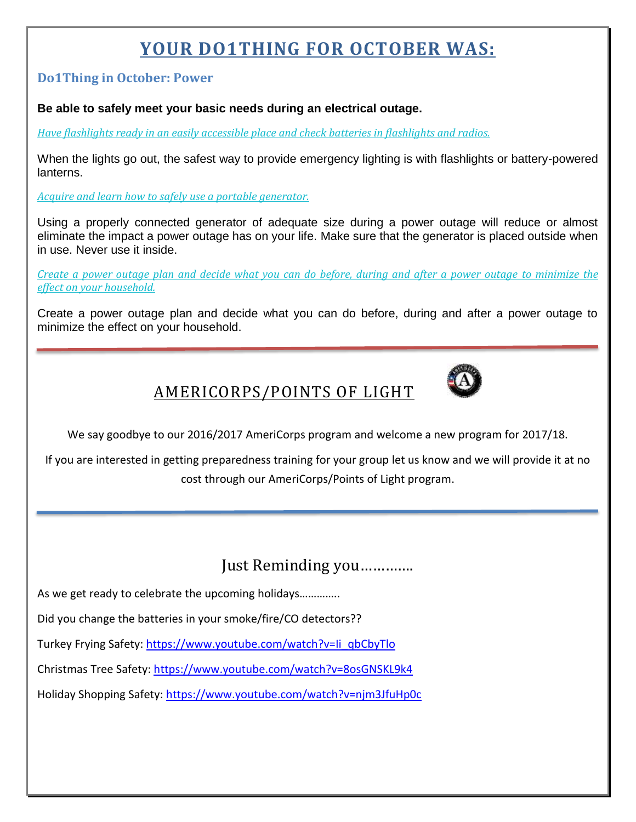## **YOUR DO1THING FOR OCTOBER WAS:**

#### **Do1Thing in October: Power**

#### **Be able to safely meet your basic needs during an electrical outage.**

*[Have flashlights ready in an easily accessible place and check batteries in flashlights and radios.](http://do1thing.us9.list-manage1.com/track/click?u=035ce122cd759f1206d70dbbc&id=3554380ca5&e=1e1dda77ee)* 

When the lights go out, the safest way to provide emergency lighting is with flashlights or battery-powered lanterns.

*[Acquire and learn how to safely use a portable generator.](http://do1thing.us9.list-manage1.com/track/click?u=035ce122cd759f1206d70dbbc&id=e072f280da&e=1e1dda77ee)* 

Using a properly connected generator of adequate size during a power outage will reduce or almost eliminate the impact a power outage has on your life. Make sure that the generator is placed outside when in use. Never use it inside.

*[Create a power outage plan and decide what you can do before, during and after a power outage to minimize the](http://do1thing.us9.list-manage1.com/track/click?u=035ce122cd759f1206d70dbbc&id=8f6902401b&e=1e1dda77ee)  [effect on your household.](http://do1thing.us9.list-manage1.com/track/click?u=035ce122cd759f1206d70dbbc&id=8f6902401b&e=1e1dda77ee)* 

Create a power outage plan and decide what you can do before, during and after a power outage to minimize the effect on your household.



### AMERICORPS/POINTS OF LIGHT

We say goodbye to our 2016/2017 AmeriCorps program and welcome a new program for 2017/18.

If you are interested in getting preparedness training for your group let us know and we will provide it at no cost through our AmeriCorps/Points of Light program.

### Just Reminding you………….

As we get ready to celebrate the upcoming holidays…………..

Did you change the batteries in your smoke/fire/CO detectors??

Turkey Frying Safety: [https://www.youtube.com/watch?v=Ii\\_qbCbyTlo](https://www.youtube.com/watch?v=Ii_qbCbyTlo)

Christmas Tree Safety:<https://www.youtube.com/watch?v=8osGNSKL9k4>

Holiday Shopping Safety:<https://www.youtube.com/watch?v=njm3JfuHp0c>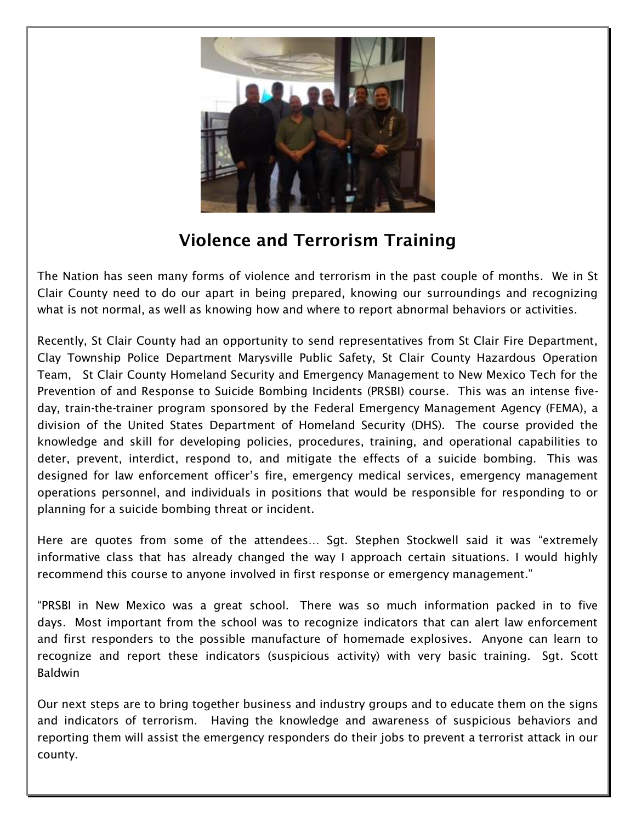

### **Violence and Terrorism Training**

The Nation has seen many forms of violence and terrorism in the past couple of months. We in St Clair County need to do our apart in being prepared, knowing our surroundings and recognizing what is not normal, as well as knowing how and where to report abnormal behaviors or activities.

Recently, St Clair County had an opportunity to send representatives from St Clair Fire Department, Clay Township Police Department Marysville Public Safety, St Clair County Hazardous Operation Team, St Clair County Homeland Security and Emergency Management to New Mexico Tech for the Prevention of and Response to Suicide Bombing Incidents (PRSBI) course. This was an intense fiveday, train-the-trainer program sponsored by the Federal Emergency Management Agency (FEMA), a division of the United States Department of Homeland Security (DHS). The course provided the knowledge and skill for developing policies, procedures, training, and operational capabilities to deter, prevent, interdict, respond to, and mitigate the effects of a suicide bombing. This was designed for law enforcement officer's fire, emergency medical services, emergency management operations personnel, and individuals in positions that would be responsible for responding to or planning for a suicide bombing threat or incident.

Here are quotes from some of the attendees… Sgt. Stephen Stockwell said it was "extremely informative class that has already changed the way I approach certain situations. I would highly recommend this course to anyone involved in first response or emergency management."

"PRSBI in New Mexico was a great school. There was so much information packed in to five days. Most important from the school was to recognize indicators that can alert law enforcement and first responders to the possible manufacture of homemade explosives. Anyone can learn to recognize and report these indicators (suspicious activity) with very basic training. Sgt. Scott Baldwin

Our next steps are to bring together business and industry groups and to educate them on the signs and indicators of terrorism. Having the knowledge and awareness of suspicious behaviors and reporting them will assist the emergency responders do their jobs to prevent a terrorist attack in our county.